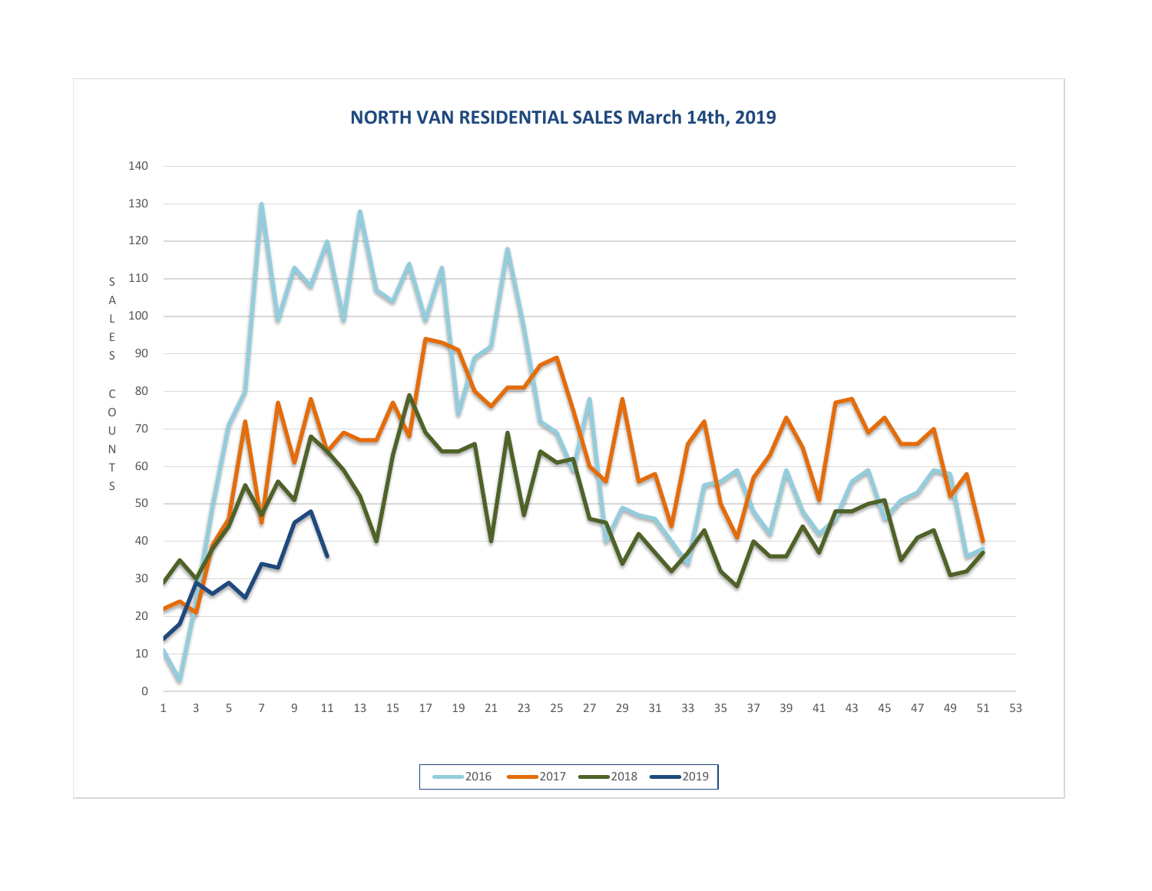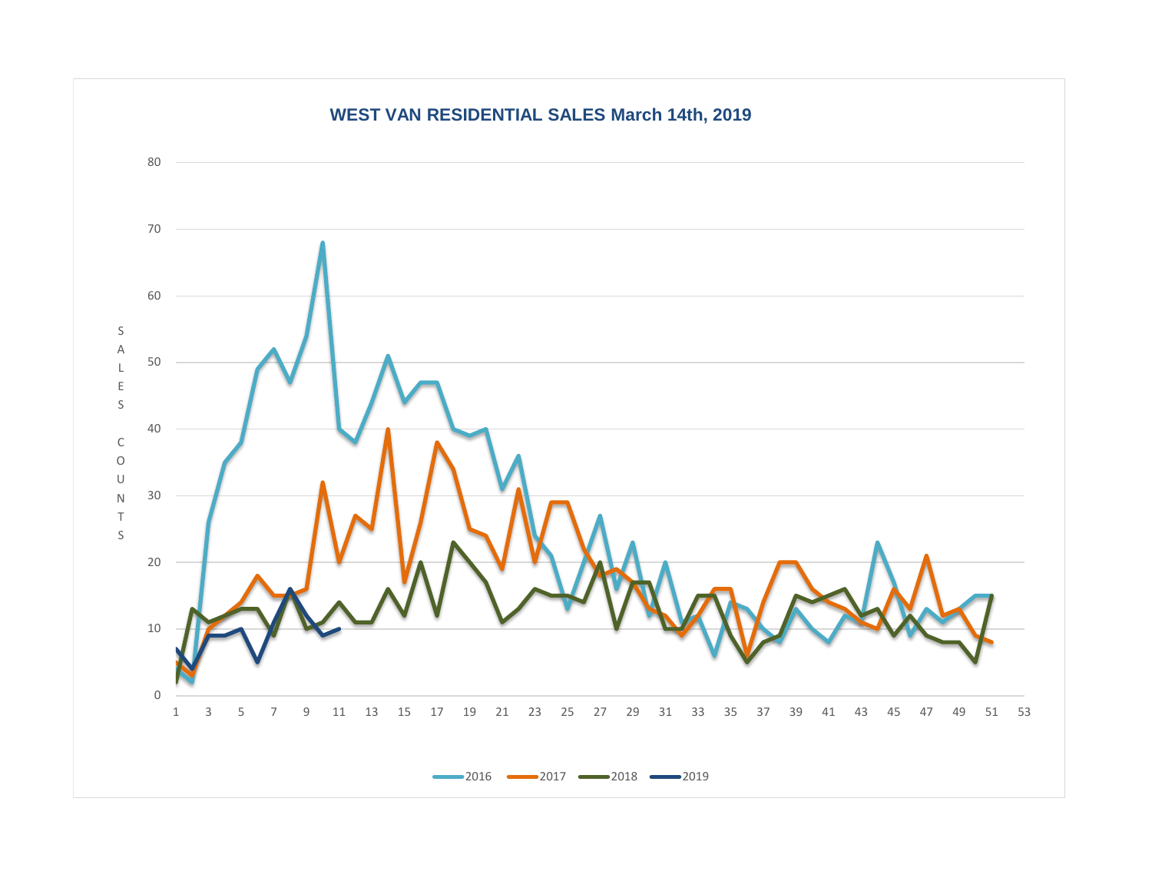